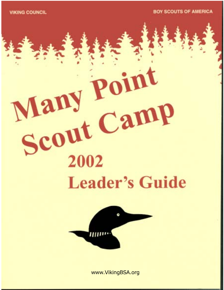**VIKING COUNCIL** 

**BOY SCOUTS OF AMERICA** 

# Many<br>Scout Camp 2002 **Leader's Guide**

Many Point



www.VikingBSA.org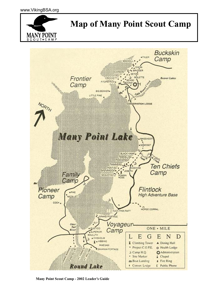



 **Many Point Scout Camp - 2002 Leader's Guide**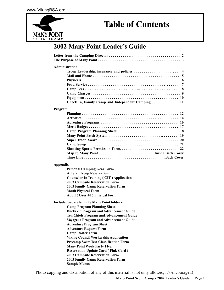

## **Table of Contents**

## **2002 Many Point Leader's Guide**

|                 | Administration                                             |
|-----------------|------------------------------------------------------------|
|                 | Troop Leadership, insurance and policies<br>$\overline{4}$ |
|                 | 5                                                          |
|                 | 6                                                          |
|                 | 7                                                          |
|                 | 8                                                          |
|                 |                                                            |
|                 |                                                            |
|                 | Check In, Family Camp and Independent Camping  11          |
| Program         |                                                            |
|                 |                                                            |
|                 |                                                            |
|                 | 16                                                         |
|                 |                                                            |
|                 |                                                            |
|                 |                                                            |
|                 |                                                            |
|                 |                                                            |
|                 | Shooting Sports Permission Form<br>22                      |
|                 |                                                            |
|                 |                                                            |
| <b>Appendix</b> |                                                            |
|                 | <b>Personal Camping Gear Form</b>                          |
|                 | <b>All Star Troop Reservation</b>                          |
|                 | <b>Counselor In Training (CIT) Application</b>             |
|                 | <b>2003 Campsite Reservation Form</b>                      |
|                 | 2003 Family Camp Reservation Form                          |
|                 | <b>Youth Physical Form</b>                                 |
|                 | <b>Adult (Over 40) Physical Form</b>                       |
|                 | Included separate in the Many Point folder -               |
|                 | <b>Camp Program Planning Sheet</b>                         |
|                 | <b>Buckskin Program and Advancement Guide</b>              |
|                 | Ten Chiefs Program and Advancement Guide                   |
|                 | <b>Voyageur Program and Advancement Guide</b>              |
|                 | <b>Adventure Program Sheet</b>                             |
|                 | <b>Adventure Request Form</b>                              |
|                 | <b>Camp Roster Form</b>                                    |
|                 | <b>Viking Council Workership Application</b>               |
|                 | <b>Precamp Swim Test Classification Form</b>               |
|                 | <b>Many Point Work Party Flyer</b>                         |
|                 | <b>Reservation Update Card (Pink Card)</b>                 |
|                 | <b>2003 Campsite Reservation Form</b>                      |
|                 | 2003 Family Camp Reservation Form                          |
|                 | <b>Sample Menus</b>                                        |
|                 |                                                            |

Photo copying and distribution of any of this material is not only allowed, it's encouraged!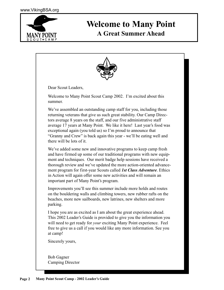

## **Welcome to Many Point**

**A Great Summer Ahead**



Bob Gagner Camping Director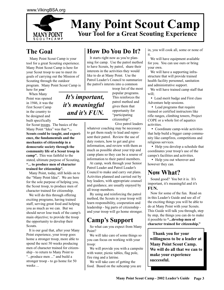

## **Your Tool for a Great Scouting Experience Many Point Scout Camp**

## **The Goal**

 Many Point Scout Camp is your tool for a great Scouting experience. Many Point Scout Camp is here for your Scout troop to use to meet its goals of carrying out the Mission of Scouting through the outdoor program. Many Point Scout Camp is here for *you!*

*It's important,*

*it's meaningful*

*and it's FUN.*

 When Many Point was opened in 1946, it was the first Scout Camp in the country to be designed and built specifically

for Scout troops. The basics of the Many Point "Idea" was that **"... Scouts could be taught, and experience, the fundamentals and the mechanics of citizenship in a democratic society through the community life of a Scout troop in camp".** This was faithful to the stated, ultimate purpose of Scouting, **"... to produce men of character trained for citizenship".**

 Many Point, today, still holds on to the "Many Point Idea". We are here for the sole purpose of helping you, the Scout troop, to produce men of character trained for citizenship.

 We will do this through offering exciting programs, having trained staff, serving great food and helping you as much as we can. But we should never lose track of the camp's main objective; to provide the troop the opportunity to develop their Scouts.

 It is our goal that, after your Many Point experience, your troop goes home a stronger troop, more able to spend the next 50 weeks producing men of character trained for citizenship - to return to Many Point to "...produce men ..." and build a stronger troop - to go home for 50 weeks ...

## **How Do You Do It?**

It starts right now as you're planning for camp. Use the patrol method to have Scouts, by patrol, share their interests in the activities they would like to do at Many Point. Use the Patrol Leader's Council to summarize the patrol's intersts into a common

> troop list of the most popular programs. This reinforces the patrol method and gives them that opportunity for "participating citizenship".

Give patrol leaders

whatever coaching may be necessary to get them ready to lead and represent their patrol. Review the use of duty rosters, how to get and give information, and review with them as much as possible about your trip and camp plans so they can be a sourse of information to their patrol members.

 At camp, work through your Senior Patrol Leader and Patrol Leader's Council to make and carry out plans. Activities planned and carried out by boy leaders, with appropriate counsel and guidance, are usually enjoyed by all troop members.

 By using and reinforcing the patrol method, the Scouts in your troop will learn responsibility, cooperation and leadership - big parts of citizenship and your troop will go home stronger.

## **Camp's Support**

 So what can you expect from Many Point?

 We will take care of some things so you can focus on working with your troop:

 We will provide you with a campsite with water, picnic tables, flag pole, fire ring and a latrine.

 We will take care of getting the food. Based on the subcamp you are in, you will cook all, some or none of it.

 We will have equipment available for you. You can use ours or bring your own.

 We will have a supporting infrastructure that will provide trained health facility personnel, sanitation and administrative support.

 We will have trained camp staff that will;

 • Lead merit badge and First class Adventure help sessions.

 • Lead programs that require trained or certified instructors like rifle ranges, climbing towers, Project COPE or a whole list of aquatics activities.

 • Coordinate camp-wide activities that help build a bigger camp community like campfires, competitions and religious services.

 • Help you develop a schedule that coordinates your troop's use of the camps's facilities and activities.

• Help you out wherever and however they can.

## **Now What?**

 Sound good? You bet it is. It's important, it's meaningful and it's **FUN.**

 Now for some of the fun. Read on in this Leader's Guide and see all of the exciting things you will be able to do at Many Point with your Scouts. This Guide will talk you through, step by step, the things you can do to make it possible to **"...develop men of character trained for citizenship."**

 **Thank you for your willingness to be a leader at Many Point Scout Camp. We will do all that we can to make your experience successful.**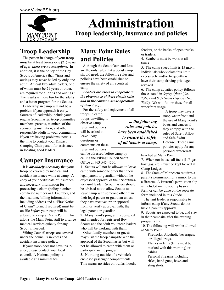

## **Troop Leadership**

 The person in charge of your troop *must* be at least twenty-one (21) years of age**;** *there are no exceptions.* In addition, it is the policy of the Boy Scouts of America that, "trips and outings may never be led by only one adult. At least two adult leaders, one of whom must be 21 years or older, are required for all trips and outings." The results is more fun for the adults and a better program for the Scouts.

 Leadership in camp will not be a problem if you approach it early. Sources of leadership include your regular Scoutmaster, troop committee members, parents, members of the sponsoring institution, and other responsible adults in your community. If you are having problems, now is the time to contact your District Camping Chairperson for assistance in locating good leaders.

## **Camper Insurance**

 It is *absolutely necessary* that your troop be covered by medical and accident insurance while at camp. A copy of your certificate of insurance and necessary information for processing a claim (policy number, certificate number or ID number, and the insurance billing information, including address and a "First Notice of Claim" form, if required) must be on file *before* your troop will be allowed to camp at Many Point. This allows the Many Point staff to arrange medical services quickly for any Scout, if needed.

 Viking Council troops are covered under the council's sickness and accident insurance policy.

 If your troop does not have insurance, please contact your local council. A National policy is available at a minimal fee.

## **Many Point Rules and Policies**

 Although the Scout Oath and Law are the only rules that a Scout camp should need, the following rules and policies have been established to ensure the safety of all Scouts at camp.

#### *Leaders are asked to cooperate in the observance of these simple rules and in the common sense operation of their troop.*

 For the safety and enjoyment of all troops in camp,

troops unwilling to observe camp rules and policies will be asked to leave. Any questions or comments on these

rules and policies can be adressed before camp by calling the Viking Council Scout Office at 763-545-4550.

1. Scouts will not be allowed to leave camp with someone other than their legal parent or guardian without the expressed approval of their Scoutmaster / unit leader. Scoutmasters should be advised not to allow Scouts to leave camp with someone other than their legal parent or guardian unless they have received prior approval from, or verify approval with, the legal parent or guardian. 2. Many Point's program is designed

and intended for registered Boy Scouts and the adult volunteer leaders who will be working with them.

 Other family members or guests may visit the troop campsite with the approval of the Scoutmaster but will not be allowed to camp with them or participate in the program.

3. No riding outside of a vehicle's enclosed passenger compartments. This means no rides on trunks, hoods,

fenders, or the backs of open trucks or trailers.

4. Seatbelts must be worn at all times.

5. The camp speed limit is 15 m.p.h. Individuals who violate this limit excessively and/or frequently will have their camp driving privileges revoked.

6. The camp aquatics policy follows those stated in *Safety Afloat* (No. 7368) and *Safe Swim Defense* (No. 7369). We will follow these for all waterfront usage.

*... the following rules and policies have been established to ensure the safety of all Scouts at camp.*

 A troop may have a troop water front and the use of Many Point's boats and canoes if they comply with the rules of Safety Afloat and Safe Swim Defense. These same policies apply for any personal watercraft

beached at Many Point.

7. When not in use, all fuels (L.P. gas, boat gas, etc.) must be kept locked at Camp Lodges.

8. The State of Minnesota requires a parent's permission for a minor to use a firearm. A firearm's permission slip is included on the youth physical form or can be done on the separate form included in this Guide.

 The unit leader is reqponsible to inform camp if any Scouts do not have a parent's approval.

9. Scouts are expected to be, and stay, in their campsite after the evening programs end.

10. The following will *not* be allowed at Many Point:

Fireworks; Alcoholic beverages; or illegal drugs.

Flames in tents (tents must be marked with this warning) or cabins.

Personal firearms including rifles, hand guns, bows and sling shots.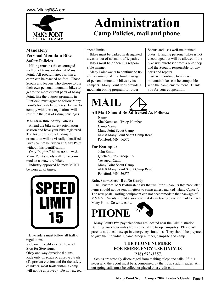

#### **Mandatory Personal Mountain Bike Safety Policies**

 Hiking remains the encouraged method of transportation at Many Point. All program areas within a camp can be reached on foot. Those Scouts and leaders who choose to use their own personal mountain bikes to get to the more distant parts of Many Point, like the outpost programs in Flintlock, must agree to follow Many Point's bike safety policies. Failure to comply with these regulations will result in the loss of riding privileges.

#### **Mountain Bike Safety Policies**

 Attend the bike safety orientation session and have your bike registered. The bikes of those attending the orientation will be visually identified. Bikes cannot be ridden at Many Point without this identification.

 Only "big tire" bikes are allowed. Many Point's roads will not accommodate narrow-tire bikes.

 Industry-approved helmets MUST be worn at all times.



 Bike riders must follow all traffic regulations; Ride on the right side of the road.

Stop for Stop signs. Obey one-way directional signs. Ride only on roads or approved trails. (To prevent erosion and for the safety of hikers, most trails within a camp will not be approved). Do not exceed

## **Administration Camp Policies, mail and phone**

speed limits.

 Bikes must be parked in designated areas or out of normal traffic paths.

 Bikes must be ridden in a responsible manner.

 Many Point wants to continue to try and accommodate the limited usage of personal mountain bikes by its campers. Many Point does provide a mountain biking program for older

Scouts and uses well-maintained bikes. Bringing personal bikes is not encouraged but will be allowed if the bike was purchased from a bike shop and the Scout is responsible for any parts and repairs.

 We will continue to review if mountain bikes can be compatible with the camp environment. Thank you for your cooperation.

## **MAIL**

#### **All Mail Should Be Addressed As Follows:**

Name Site Name and Troop Number Camp Name Many Point Scout Camp 41408 Many Point Scout Camp Road Ponsford, MN 56575

#### **For Example:**

John Smith Quetico Site - Troop 369 Voyageur Camp Many Point Scout Camp 41408 Many Point Scout Camp Road Ponsford, MN 56575

#### **Rain, Snow, Sleet - But No Candy**

 The Ponsford, MN Postmaster asks that we inform parents that "non-flat" items should not be sent in letters to camp unless marked "Hand Cancel". The new postal sorting equipment can not accommodate that package of M&M's. Parents should also know that it can take 3 days for mail to reach Many Point. So write early.

## **PHONE**



 Many Point's two pay telephones are located near the Administration Building, over four miles from some of the troop campsites. Please ask parents not to call except in emergency situations. They should be prepared to give the individual's name, troop number, campsite and camp.

#### **THE PHONE NUMBER FOR EMERGENCY USE ONLY, IS (218) 573-3257.**

 Scouts are strongly discouraged from making telephone calls. If it is necessary, the Scout must be accompanied by the troop's adult leader. All out-going calls must be collect or placed on a credit card.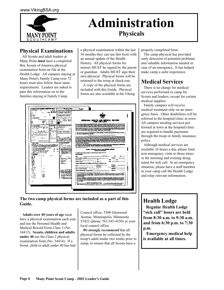

## **Administration Physicals**

#### **Physical Examinations**

 All Scouts and adult leaders at Many Point **must** have a completed Boy Scouts of America physical examination form on file at the Health Lodge. All campers staying at Many Point's Family Camp over 72 hours must also follow these same requirements. Leaders are asked to pass this information on to the families staying at Family Camp.

a physical examination within the last 36 months they can use this form with an annual update of the Health History. All physical forms for minors MUST be signed by the parent or guardian. Adults MUST sign their own physical. Physical forms will be returned to the troop at check-out.

 A copy of the physical forms are included with this Guide. Physical forms are also available at the Viking

| Chairma size in out adjuste verified them though            |                                                     |                          | <b>The American Administration</b>                                                                                                                                                                                                   | <b>P. MINE 1994</b>                                                                                                                                                                                                                  |  |
|-------------------------------------------------------------|-----------------------------------------------------|--------------------------|--------------------------------------------------------------------------------------------------------------------------------------------------------------------------------------------------------------------------------------|--------------------------------------------------------------------------------------------------------------------------------------------------------------------------------------------------------------------------------------|--|
| <b>Lewischer</b><br>۰.                                      | $\overline{\phantom{a}}$                            | ---                      | the converse, so not reduce visual                                                                                                                                                                                                   | <b><i><u>Property</u></i></b>                                                                                                                                                                                                        |  |
| $\overline{\phantom{a}}$                                    |                                                     | چىپ                      | where the star traditional                                                                                                                                                                                                           |                                                                                                                                                                                                                                      |  |
| ٠<br>                                                       | $-1$<br>$-1$                                        |                          | <b>SERVICE</b>                                                                                                                                                                                                                       |                                                                                                                                                                                                                                      |  |
|                                                             | $\epsilon$                                          | ٠                        |                                                                                                                                                                                                                                      |                                                                                                                                                                                                                                      |  |
| trim.                                                       | $\mathbf{r}$                                        |                          | <u>the company company of the company of the company of the company of the company of the company of the company of the company of the company of the company of the company of the company of the company of the company of the</u> |                                                                                                                                                                                                                                      |  |
| $\sim$ $\sim$<br><b>List between Großen</b>                 |                                                     | ٠                        | . <i>.</i><br>a Gilpana ponsoni quie                                                                                                                                                                                                 |                                                                                                                                                                                                                                      |  |
|                                                             |                                                     |                          |                                                                                                                                                                                                                                      |                                                                                                                                                                                                                                      |  |
|                                                             |                                                     | .<br>$\sqrt{1}$          | والمستر ويسترد المجدة<br>لمشر خنيدت عماء                                                                                                                                                                                             | PERBONAL HEALTH AND MEDICAL RECORD                                                                                                                                                                                                   |  |
| <br>k.                                                      | ---<br>. .                                          | т                        | $e^{-1}$                                                                                                                                                                                                                             | .                                                                                                                                                                                                                                    |  |
| EV.                                                         |                                                     | г.,                      | a b                                                                                                                                                                                                                                  |                                                                                                                                                                                                                                      |  |
|                                                             | $\ddotsc$                                           |                          |                                                                                                                                                                                                                                      | Class 1 janislik ormålig för at pyrkoljatik. Spiller, Typ ppå, compyrisen, et aller gruppen om annallig 15 kmm<br>1999 avså et aller, skylig to the pitalist projekt förstatt men ta mada malada. Sammi passed malle med sedan<br>ma |  |
| مقدمتهم متعادلات                                            |                                                     | <b>Birds Holly</b>       | , <b>.</b>                                                                                                                                                                                                                           |                                                                                                                                                                                                                                      |  |
| -------<br>16.                                              | <b>CALL AND THE USE</b><br>$\overline{\phantom{a}}$ | ÷                        | worksmoon)                                                                                                                                                                                                                           |                                                                                                                                                                                                                                      |  |
| no se seri.                                                 | $\sim$ $\sim$ $\sim$                                | wa :                     | $\mathbf{a}$<br>.<br>.<br>$\cdots$                                                                                                                                                                                                   | time i gregorio area avez 10 mento to al postagonto mate al gosti al tipi, Ambie Maldani auro y seg alter<br>colony mai se independen, una mento, o tantattatal alco in independente pelo propo ter 17 mentos delenco.<br>«Al trad o |  |
|                                                             |                                                     | $\overline{\phantom{a}}$ | .                                                                                                                                                                                                                                    |                                                                                                                                                                                                                                      |  |
| 100248547                                                   |                                                     | $-$<br>$\mathbf{f}$      | to value on to come the                                                                                                                                                                                                              |                                                                                                                                                                                                                                      |  |
|                                                             |                                                     | ٠<br><br>$\sim$<br>٠     |                                                                                                                                                                                                                                      | Quigo Same above acquire on adduced gas above on allead conference. Your DEA have suppressed manded data added<br>give about the components to your state.                                                                           |  |
| مقدمته عمقها                                                |                                                     |                          |                                                                                                                                                                                                                                      |                                                                                                                                                                                                                                      |  |
| --------------<br>.                                         |                                                     | $ +$ $+$<br>$- - -$      | <b>Three</b>                                                                                                                                                                                                                         |                                                                                                                                                                                                                                      |  |
| $\cdots$                                                    |                                                     |                          |                                                                                                                                                                                                                                      | t yêu antroid het materiale teatre in de stadstanding dêr's teles through, ontge d'un spele after an entre<br>An antite different to be under teatre de stadstanding angespege aprèsent alles pays test Thamas and an entre<br>() da |  |
| $$ $$                                                       |                                                     | <b>A</b> = 10.10         | <b>MARTINE</b>                                                                                                                                                                                                                       |                                                                                                                                                                                                                                      |  |
| . .<br>$\sim$ $\sim$                                        |                                                     |                          |                                                                                                                                                                                                                                      |                                                                                                                                                                                                                                      |  |
|                                                             |                                                     |                          | ----------                                                                                                                                                                                                                           | the gap is agreed you having anticip for a work or more, how over the commissioners design physical anticipe at surface                                                                                                              |  |
|                                                             |                                                     |                          | <b>WE POST SHOPPING</b>                                                                                                                                                                                                              | <b>Contract Service Contract</b>                                                                                                                                                                                                     |  |
|                                                             |                                                     |                          | Free Av<br><b>Barrow And Bookman Ave</b>                                                                                                                                                                                             | THEY POWER AR NOTE WO AND UNKER OFF ANNUAL COMMUNAL ART NUMBEAUTORITY WAS PRETINCIPATED AND POWER                                                                                                                                    |  |
| <b>TELLAL AND HELL</b>                                      |                                                     |                          | .                                                                                                                                                                                                                                    | toll, parts, the ouse company, include January class collections.                                                                                                                                                                    |  |
| Companies and concentration of the companies of the company |                                                     |                          | <br>the company of the com-                                                                                                                                                                                                          |                                                                                                                                                                                                                                      |  |
| - Aug. 1. Martin, a sea mar product.                        |                                                     | sa Sa                    |                                                                                                                                                                                                                                      | GLASS 1 FURNICINAL MEMORY AND MEDICAL HOSPORY                                                                                                                                                                                        |  |
| <b>MARGAZINE</b>                                            |                                                     |                          | 12.72748                                                                                                                                                                                                                             | <b>Publican in all particularship</b>                                                                                                                                                                                                |  |
| <b>CAMPS PERMIT IF THE</b>                                  |                                                     | $\cdots$                 | *****                                                                                                                                                                                                                                | In an West and ay named, morefore, or which particulars. Please preside and                                                                                                                                                          |  |
|                                                             |                                                     |                          | .<br>$2000 - 100$                                                                                                                                                                                                                    | <b>ART 200500</b>                                                                                                                                                                                                                    |  |
| <b>SIGNER</b><br>AF 61                                      |                                                     | m-                       | ٠                                                                                                                                                                                                                                    |                                                                                                                                                                                                                                      |  |
| .                                                           | <b>.</b>                                            |                          | $\gamma_{\rm{th}}$<br>$\sim$<br>õ.                                                                                                                                                                                                   | <b><i><u><u>both warm</u></u></i></b><br>-<br>محمدا                                                                                                                                                                                  |  |
| .<br>H.                                                     |                                                     |                          | Statement and a fairwall                                                                                                                                                                                                             | lara d'ossi e serie                                                                                                                                                                                                                  |  |
| e as                                                        |                                                     |                          | <b>CHAIN A ROLL</b>                                                                                                                                                                                                                  | $\mathbf{w}_{\text{max}}$<br>ш.                                                                                                                                                                                                      |  |
| У.                                                          |                                                     |                          | <b>COLORADO</b><br>.                                                                                                                                                                                                                 | and the same of<br>. .<br>_____                                                                                                                                                                                                      |  |
| $\overline{\phantom{a}}$                                    |                                                     |                          | $-1$                                                                                                                                                                                                                                 |                                                                                                                                                                                                                                      |  |
| m.<br>$\frac{1}{2}$                                         |                                                     |                          | <b>START OF</b>                                                                                                                                                                                                                      |                                                                                                                                                                                                                                      |  |
|                                                             | $\cdots$                                            |                          |                                                                                                                                                                                                                                      | - 10000000                                                                                                                                                                                                                           |  |
| u.<br>٠<br><b>BARRA</b>                                     |                                                     |                          |                                                                                                                                                                                                                                      |                                                                                                                                                                                                                                      |  |
| <b>ALC: YES</b>                                             | $\overline{\phantom{a}}$                            |                          |                                                                                                                                                                                                                                      | -----                                                                                                                                                                                                                                |  |
| <br><b>THE 11</b>                                           |                                                     |                          | ---- --                                                                                                                                                                                                                              |                                                                                                                                                                                                                                      |  |
| .<br>- 47                                                   |                                                     |                          | <b>WHEN THE COMP</b>                                                                                                                                                                                                                 | foregrad teachers and an expected service account of<br>$m = m$                                                                                                                                                                      |  |
| sie.                                                        |                                                     |                          | مستقدماتان»، بوده در<br><b>100 BFT THEFT .</b>                                                                                                                                                                                       |                                                                                                                                                                                                                                      |  |
| 10000<br>.                                                  |                                                     |                          | . <b>.</b>                                                                                                                                                                                                                           | t des en paradies de les paragraphes à bije program, entjet le finitiere autres batiles à des sons et finance                                                                                                                        |  |
| i me                                                        |                                                     |                          | <b>NATIONAL MICH SERVICE</b><br>PRINTS NYSEA                                                                                                                                                                                         | e anno 1970 a componente de la componentación de la componentación de la componentación de la componentación<br>A composito de Componentación de la componentación de la componentación de la componentación de la componenta        |  |
| .                                                           |                                                     |                          | 1.7.1<br>-----------                                                                                                                                                                                                                 |                                                                                                                                                                                                                                      |  |
| mment.                                                      |                                                     |                          | <b>CONTINUES OF</b>                                                                                                                                                                                                                  | ی درمود به استعمال سیستم وی با کار دی کار دی که به محمد به شده به محمد به محمد به این استعمال به این محمد به ا                                                                                                                       |  |
|                                                             |                                                     |                          |                                                                                                                                                                                                                                      | the costs I served to readers! I being your the production is the gapitale service by the selection in starting<br>These paper security, helicity because of a continue couple or bysides of madernia in an observe the              |  |
| $\sim$ $\sim$ $\sim$                                        |                                                     |                          |                                                                                                                                                                                                                                      | $-1 - 1$                                                                                                                                                                                                                             |  |
|                                                             |                                                     |                          |                                                                                                                                                                                                                                      | However a possibilities is said.<br>--                                                                                                                                                                                               |  |
|                                                             |                                                     |                          |                                                                                                                                                                                                                                      | then worker main for providence in the maintain. Since with past this test council.                                                                                                                                                  |  |
|                                                             |                                                     |                          |                                                                                                                                                                                                                                      |                                                                                                                                                                                                                                      |  |
|                                                             |                                                     |                          |                                                                                                                                                                                                                                      |                                                                                                                                                                                                                                      |  |
|                                                             |                                                     |                          |                                                                                                                                                                                                                                      |                                                                                                                                                                                                                                      |  |
|                                                             |                                                     |                          |                                                                                                                                                                                                                                      |                                                                                                                                                                                                                                      |  |

#### **The two camp physical forms are included as a part of this Guide.**

 **Adults over 40 years of age** must have a physical examination each year and use the Personal Health and Medical Record Form Class 3 (No. 34412). **Scouts, children and adults under 40** use the Class 2 physical examination form (No. 34414). If a Scout, child or adult under 40 has had

Council office, 5300 Glenwood Avenue, Minneapolis, Minnesota 55422 (phone 763-545-4550) or your local council office.

 *We strongly recommend* that all physical forms be collected by the troop's adult leader two weeks prior to camp, to ensure that all Scouts have a

properly completed form.

 The camp physical has provided early detection of potential problems and valuable information needed in case of an emergency. It has helped make camp a safer experience.

### **Medical Services**

 There is no charge for medical services performed in camp for Scouts and leaders, except for certain medical supplies.

 Family campers will receive medical treatment only on an emergency basis. Other disabilities will be referred to the hospital/clinic in town. All campers needing services performed in town at the hospital/clinic are required to handle payments through the troop or family insurance policy.

 Although medical services are available 24 hours a day, please limit non-emergency visits to those times in the morning and evening designated for sick call. In an emergency situation, please have a staff member in your camp call the Health Lodge and relay relevant information.

### **Health Lodge**

 **Regular Health Lodge "sick call" hours are held from 8:30 a.m. to 9:30 a.m. and from 6:30 p.m. to 7:30 p.m.**

 **Emergency medical help is available at all times.**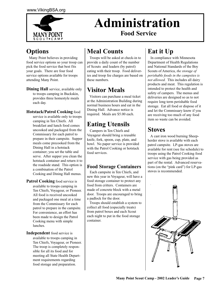

## **Administration Food Service**

## **Options**

 Many Point believes in providing food service options so your troop can pick the food service that best fits your goals. There are four food service options available for troops attending Many Point.

**Dining Hall** service, available only to troops camping in Buckskin, provides three homestyle meals each day.

#### **Hotstack/Patrol Cooking** food

service is available only to troops camping in Ten Chiefs. All breakfast and lunch food comes uncooked and packaged from the Commissary for each patrol to prepare in their campsite. Supper meals come precooked from the Dining Hall in a hotstack container; you set the table and serve. After supper you clean the hotstack container and return it to the roadside stand. This option is a combination of the Patrol Cooking and Dining Hall menus.

**Patrol Cooking** food service is available to troops camping in Ten Chiefs, Voyageur, or Pioneer. All food is received uncooked and packaged one meal at a time from the Commissary for each patrol to prepare in the campsite. For convenience, an effort has been made to design the Patrol Cooking menu with simple lunches.

**Independent** food service is available to troops camping in Ten Chiefs, Voyageur, or Pioneer. The troop is completely responsible for all its food and for meeting all State Health Department requirements regarding food storage and preparation.

## **Meal Counts**

 Troops will be asked at check-in to provide a daily count of the number of Scouts and leaders (by patrol) eating with their troop. Food deliveries and troop fee charges are based on these numbers.

## **Visitor Meals**

 Visitors can purchase a meal ticket at the Administration Building during normal business hours and eat in the Dining Hall. Advance notice is required. Meals are \$5.00 each.

## **Eating Utensils**

 Campers in Ten Chiefs and Voyageur should bring a reusable knife, fork, spoon, cup, plate, and bowl. No paper service is provided with the Patrol Cooking or hotstack food services.

#### **Food Storage Containers**

 Each campsite in Ten Chiefs, and new this year in Voyageur, will have a food storage container to protect any food from critters. Containers are made of concrete block with a metal door. Troops are encouraged to bring a padlock for the door.

 Troops should establish a system to collect all food (especially treats) from patrol boxes and each Scout each night to put in the food storage container.

## **Eat it Up**

 In compliance with Minnesota Department of Health Regulations and National Standards of the Boy Scouts of America, *the storage of perishable foods in the campsites is not allowed.* This includes all dairy products and meat. This regulation is intended to protect the health and safety of campers. The menus and deliveries are designed so as to not require long term perishable food storage. Eat all food or dispose of it and let the Commissary know if you are receiving too much of any food item so waste can be avoided.

### **Stoves**

 A cast iron wood burning Sheepherder stove is available with each patrol campsite. LP-gas stoves are available for rent (see fee schedule) to troops using the Patrol Cooking food service with gas being provided as part of the rental. Advanced reservations (on the "pink card") for LP-gas stoves is recommended.

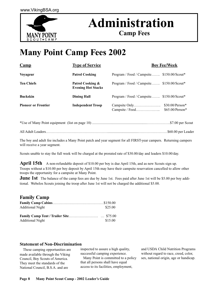

## **Administration**

**Camp Fees**

## **Many Point Camp Fees 2002**

| $\mathbf{Camp}$            | <b>Type of Service</b>                        |                                           | <b>Boy Fee/Week</b>                  |
|----------------------------|-----------------------------------------------|-------------------------------------------|--------------------------------------|
| <b>Voyageur</b>            | <b>Patrol Cooking</b>                         | Program / Food / Campsite \$150.00/Scout* |                                      |
| <b>Ten Chiefs</b>          | Patrol Cooking &<br><b>Evening Hot Stacks</b> | Program / Food / Campsite \$150.00/Scout* |                                      |
| <b>Buckskin</b>            | <b>Dining Hall</b>                            | Program / Food / Campsite \$150.00/Scout* |                                      |
| <b>Pioneer or Frontier</b> | <b>Independent Troop</b>                      | Campsite / Food                           | $$30.00/Person*$<br>$$65.00/Person*$ |

All Adult Leaders…………………………………………….................................……………………\$60.00 per Leader

The boy and adult fee includes a Many Point patch and year segment for all FIRST-year campers. Returning campers will receive a year segment.

Scouts unable to stay the full week will be charged at the prorated rate of \$30.00/day and leaders \$10.00/day.

**April 15th** A non-refundable deposit of \$10.00 per boy is due April 15th, and as new Scouts sign up. Troops without a \$10.00 per boy deposit by April 15th may have their campsite reservation cancelled to allow other troops the opportunity for a campsite at Many Point.

**June 1st** The balance of the camp fees are due by June 1st. Fees paid after June 1st will be \$5.00 per boy additional. Webelos Scouts joining the troop after June 1st will not be charged the additional \$5.00.

#### **Family Camp**

| <b>Additional Night</b> | \$25.00 |
|-------------------------|---------|
|                         |         |
| <b>Additional Night</b> | \$15.00 |

#### **Statement of Non-Discrimination**

 These camping opportunities are made available through the Viking Council, Boy Scouts of America. They meet the standards of the National Council, B.S.A. and are

inspected to assure a high quality, successful camping experience. Many Point is committed to a policy that all persons shall have equal access to its facilities, employment,

and USDA Child Nutrition Programs without regard to race, creed, color, sex, national origin, age or handicap.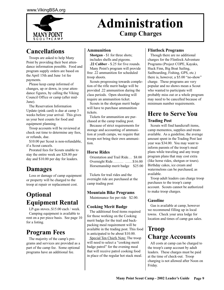

## **Administration Camp Charges**

## **Cancellations**

 Troops are asked to help Many Point by providing their best attendance information possible. Food and program supply orders are based on the April 15th and June 1st fee payments.

 Please keep camp informed of changes, up or down, in your attendance figures, by calling the Viking Council Office or camp (after mid-June).

 The Reservation Information Update (pink card) is due at camp 3 weeks before your arrival. This gives us your best counts for food and equipment planning.

 Troop accounts will be reviewed at check out time to determine any fees, or refunds, due.

\$10.00 per Scout is non-refundable, if a Scout cancels.

 Prorated fees for Scouts unable to stay the entire week are \$28.00 per day and \$10.00 per day for leaders.

## **Damages**

 Loss or damage of camp equipment or property will be charged to the troop at repair or replacement cost.

## **Optional Equipment Rental**

 LP-gas stoves..\$15.00 each / week. Camping equipment is available to rent on a per piece basis. See page 10 for a listing.

## **Program Fees**

 The majority of the camp's programs and services are provided as a part of the camp fee. Some optional programs have an additional fee.

#### **Ammunition**

 **Shotgun** - \$1 for three shots; includes shells and pigeons.

 **.22 Caliber** - \$.25 for five rounds. Many Point's program will provide free .22 ammunition for scheduled troop shoots.

 Scouts progressing towards completion of the rifle merit badge will be provided .22 ammunition during the class periods. Open shooting will require an ammunition ticket.

 Scouts in the shotgun merit badge will have to purchase ammunition tickets.

 Tickets for ammunition are purchased at the camp trading post.

 Because of strict requirements for storage and accounting of ammunition at youth camps, we require that troops not bring their own ammunition.

#### **Horse Rides**

 Orientation and Trail Ride… \$8.00 Overnight Ride……… ……\$16.00 Horsemanship merit badge \$25.00

 Tickets for trail rides and the overnight ride are purchased at the camp trading post

#### **Mountain Bike Programs**

Maintenance fee per ride \$2.00.

#### **Cooking Merit Badge**

 The additional food items required for those working on the Cooking merit badge for the trail and backpacking meal requirement will be available in the trading post. This food is anticipated to be about \$10.00.

 Special Ten Chiefs Note: The troop will need to select a "cooking merit badge patrol" for the evening meal that will receive patrol cooking food in place of the regular hot stack meal.

#### **Flintlock Programs**

 Though there are no additional charges for the Flintlock Adventure Programs (Project COPE, Kayaks, Huck Finn, Big Boat Sailing, Sailboarding, Fishing, GPS, etc.) there is, however, a \$5.00 "no-show" charge. These programs are very popular and no shows mean a Scout who wanted to participate will probably miss out or a whole program may need to be cancelled because of minimum number requirements.

#### **Here to Serve You Trading Post**

 Scouts will find handicraft items, camp mementos, supplies and treats available. As a guideline, the average amount spent in the Trading Post last year was \$34.00. You may want to inform parents of the troop's meal plans while traveling and any troop program plans that may cost extra (like horse rides, shotgun or tours). Birthday cakes, ice cream and watermelons can be purchased, as available.

 Troop adult leaders can charge troop purchases to the troop's camp account. Scouts cannot be authorized to make troop charges.

#### **Gasoline**

 Gas is available at camp, however we recommend filling up in local towns. Check your area lodge for location and times of camp gas sales.

## **Troop Charge Accounts**

 All costs at camp can be charged to the troop's camp account by adult leaders. These charges must be paid at the time of check-out. Troop charging is not allowed after Noon on Friday.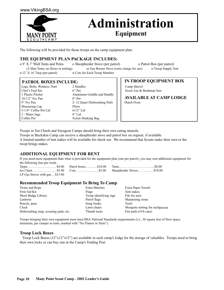

## **Administration**

**Equipment**

The following will be provided for those troops on the camp equipment plan:

#### **THE EQUIPMENT PLAN PACKAGE INCLUDES:**

o 9' X 7' Wall Tents and Poles o Sheepherder Stove (per patrol) o Patrol Box (per patrol)

o 12' X 16' Tarp (per patrol) o Cots for Each Troop Member

(2-Man Tents; no floors or netting) or Gas Burner Stove (extra charge for use) o Troop Supply Tent

#### **PATROL BOXES INCLUDE:**

| Legs, Bolts, Washers, Nuts | 2 Handles                    |
|----------------------------|------------------------------|
| Chef's Trail Kit           | $6$ " Pot                    |
| 1 Plastic Pitcher          | Aluminum Griddle and Handle  |
| $10-1/2$ " Fry Pan         | $8"$ Pot                     |
| 9" Fry Pan                 | 2-12 Quart Dishwashing Pails |
| Measuring Cup              | Pliers                       |
| 5-1/4" Coffee Pot Lid      | $61/2$ " Lid                 |
| 2 - Water Jugs             | $8"$ Lid                     |
| Coffee Pot                 | Nylon Dunking Bag            |

**IN TROOP EQUIPMENT BOX**

Camp Shovel Scout Axe & Bushman Saw

**AVAILABLE AT CAMP LODGE** Dutch Oven

Troops in Ten Chiefs and Voyageur Camps should bring their own eating utensils.

Troops in Buckskin Camp can receive a sheepherder stove and patrol box on request, if available. A limited number of tent stakes will be available for check out. We recommend that Scouts make their own or the

troop brings stakes.

#### **ADDITIONAL EQUIPMENT FOR RENT**

If you need more equipment than what is provided for the equipment plan (one per patrol), you may rent additional equipment for the following fees per week:

| LP Gas Stoves with $gas\$15.00$ |  |
|---------------------------------|--|

#### **Recommended Troop Equipment To Bring To Camp**

| <b>Extra Matches</b>   | <b>Extra Paper Towels</b>        |
|------------------------|----------------------------------|
| Flags                  | Tent stakes                      |
| Troop identifying sign | File for axes                    |
| Patrol flags           | Sharpening stone                 |
| Song books             | <b>Tools</b>                     |
| Lawn chairs            | Mosquito netting for each person |
| Thumb tacks            | Fire pails $(\#10 \text{ cans})$ |
|                        |                                  |

Troops bringing their own equipment must meet BSA National Standards requirements (i.e., 30 square feet of floor space, minimum, per camper in tents, marked with "No Flames in Tents").

#### **Troop Lock Boxes**

 Troop Lock Boxes (12"x12"x12") are available in each camp's lodge for the storage of valuables. Troops need to bring their own locks or can buy one in the Camp's Trading Post.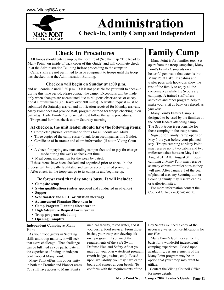

## **Administration Check-In, Family Camp and Independent**

## **Check In Procedures Family Camp**

 All troops should enter camp by the north road (See the map "The Road to Many Point" on inside of back cover of this Guide) and will complete checkin at the Administration Building **before** proceeding to the campsite.

 Camp staffs are not permitted to issue equipment to troops until the troop has checked-in at the Administration Building.

#### **Check-in will begin on Sunday at 1:00 p.m.**

and will continue until 3:30 p.m. If it is not possible for your unit to check-in during this time period, please contact the camp. Exceptions will be made only when changes are necessitated due to religious observances or exceptional circumstances (i.e., travel over 300 miles). A written request must be submitted for Saturday arrival and notification received for Monday arrivals. Many Point does not provide staff, program or food for troops checking in on Saturday. Early Family Camp arrival must follow the same procedures.

Troops and families check out on Saturday morning.

#### **At check-in, the unit leader should have the following items:**

- Completed physical examination forms for all Scouts and adults.
- Three copies of the camp roster (blank form accompanies this Guide).
- Certificate of insurance and claim information (if not in Viking Council).
- A check for paying any outstanding camper fees and to pay for charges made during the week at check-out time.
- Meal count information for the week by patrol.

 If these items have been checked and organized prior to check-in, the process will be greatly facilitated and can be accomplished promptly. After check-in, the troop can go to its campsite and begin setup.

#### **Be forewarned that day one is busy. It will include:**

- **Campsite setup**
- **Swim qualifications** (unless approved and conducted in advance)
- **Supper**
- **Scoutmaster and S.P.L. orientation meetings**
- **Advancement Planning Sheet turn in**
- **Camp Program Planning Sheet turn in**
- **High Adventure Request Form turn in**
- **Troop program scheduling**
- **Opening Campfire**

#### **Independent Camping at Many Point**

 As your troop grows in Scouting skills and troop maturity it will seek that extra challenge! That challenge can be fulfilled as you participate in the experience of being an independent troop at Many Point.

 Many Point offers this opportunity in both the Frontier and Pioneer areas. You still have access to Many Point's

medical facility, tested water, and if you desire, food service. From those basics, your troop can develop it's own program. If you meet the requirements of the Safe Swim Defense Plan and Safety Afloat you may run your own waterfront program (merit badges, swims, etc.). Based upon availability, you may have camp boats and canoes at your beach. To conform with the requirements of the

 Many Point is for families too. Set apart from the troop campsites, Many Point's Family Camp sits on a beautiful peninsula that extends into Many Point Lake. Its cabins and trailer pads with hook-ups allow the rest of the family to enjoy all the conveniences while the Scouts are camping. A trained staff offers activities and other program help to make your visit as busy, or relaxed, as you wish.

 Many Point's Family Camp is designed to be used by the families of the adult leaders attending camp. The Scout troop is responsible for those camping in the troop's name.

 Sign up for Family Camp opens on May 1 the year before your planned stay. Troops camping at Many Point may reserve up to two cabins and two trailer/tent sites between May 1 and August 31. After August 31, troops camping at Many Point may reserve as many cabins or trailer sites as they will use. After January 1 of the year of planned use, any Scouting unit or Scouting family may reserve cabins or trailer/tent sites.

 For more information contact the Council Office (763) 545-4550.

Boy Scouts we need a copy of the necessary waterfront certifications for our files.

 Many Point's facilities can be the basis for a wonderful independent camping experience. Based upon availability, certain elements of the Many Point program may be an option that your troop may want to utilize.

 Contact the Viking Council Office for more details.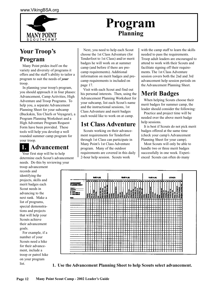

## **Program Planning**

## **Your Troop's Program**

 Many Point prides itself on the variety and diversity of programs it offers and the staff's ability to tailor a program to suit the needs of *your* troop.

 In planning your troop's program, you should approach it in four phases: Advancement, Camp Activities, High Adventure and Troop Programs. To help you, a separate Advancement Planning Sheet for your subcamp (Buckskin, Ten Chiefs or Voyageur), a Program Planning Worksheet and a High Adventure Program Request Form have been provided. These tools will help you develop a well rounded summer camp program for your troop.

## **1. Advancement**

 Your first step will be to help determine each Scout's advancement needs. Do this by reviewing your troop advancement

records and identifying the projects, skills and merit badges each Scout needs in advancing to the next rank. Make a list of programs, special demonstrations and projects that will help your Scouts achieve their advancement goals.

 For example, if a number of your Scouts need a hike for their advancement, include a troop or patrol hike on your program list.

 Next, you need to help each Scout choose the 1st Class Adventure (for Tenderfoot to 1st Class) and/or merit badges he will work on at summer camp (and before if there are precamp requirements). Additional information on merit badges and precamp requirements is included on page 17.

 Visit with each Scout and find out his personal interests. Then, using the Advancement Planning Worksheet for your subcamp, list each Scout's name and the instructional sessions, 1st Class Adventure and merit badges each would like to work on at camp.

## **1st Class Adventure**

 Scouts working on their advancement requirements for Tenderfoot through 1st Class can participate in Many Point's 1st Class Adventure program. Many of the outdoor requirements are covered in this daily 2-hour help session. Scouts work

with the camp staff to learn the skills needed to pass the requirements. Troop adult leaders are encouraged to attend to work with their Scouts and facilitate signing off their requirements. The 1st Class Adventure session covers both the 2nd and 3rd advancement help session periods on the Advancement Planning Sheet.

## **Merit Badges**

 When helping Scouts choose their merit badges for summer camp, the leader should consider the following:

 Practice and project time will be needed over the above merit badge help sessions.

 It is best if Scouts do not pick merit badges offered at the same time (check your camp's Advancement Planning Sheet for your camp).

 Most Scouts will only be able to handle two or three merit badges successfully in one week. Experienced Scouts can often do many



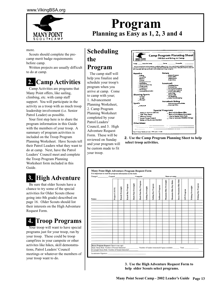

## **Program Planning as Easy as 1, 2, 3 and 4**

more.

Scouts should complete the precamp merit badge requirements before camp.

 Written projects are usually difficult to do at camp.

## **Camp Activities**

 Camp Activities are programs that Many Point offers, like sailing, climbing, etc. with camp staff support. You will participate in the activity as a troop with as much troop leadership involvement (i.e. Senior Patrol Leader) as possible.

 Your first step here is to share the program information in this Guide with the members of your troop. A summary of program activities is included on the Troop Program Planning Worksheet. Have Scouts tell their Patrol Leaders what they want to do at camp. Next, have the Patrol Leaders' Council meet and complete the Troop Program Planning Worksheet form included in this Guide.

## **3. High Adventure**

 Be sure that older Scouts have a chance to try some of the special activities for Older Scouts (those going into 8th grade) described on page 16. Older Scouts should list their interests on the High Adventure Request Form.

## **4. Troop Programs**

Your troop will want to have special programs just for your troop, run by your troop. These could be troop campfires in your campsite or other activites like hikes, skill demonstrations, Patrol Leaders' Council meetings or whatever the members of your troop want to do.

## **Scheduling the**

#### **Program**

 The camp staff will help you finalize and schedule your troop's program when you arrive at camp. Come to camp with your; 1. Advancement Planning Worksheet, 2. Camp Program Planning Worksheet completed by your Patrol Leaders' Council, and 3. High Adventure Request Form. These will be reviewed on Sunday and your program will be custom made to fit your troop.



**2. Use the Camp Program Planning Sheet to help select troop activities.**



**3. Use the High Adventure Request Form to help older Scouts select programs.**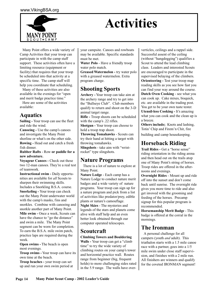

## **Activities**

 Many Point offers a wide variety of Camp Activities that your troop can participate in with the camp staff support. These activities often have a limiting resource (equipment or facility) that requires that your troop be scheduled into that activity at a specific time. The camp staff will help you coordinate that scheduling.

 Many of these activities are also available in the evenings for "open and merit badge practice time."

 Here are some of the activities available:

#### **Aquatics**

**Sailing -** Your troop can use the fleet and ride the wind.

**Canoeing -** Use the camp's canoes and investigate the Many Point shorline or what's on the other side. **Rowing -** Head out and catch a fresh fish dinner.

**Rubber Rafts** - Row **or paddle for a new adventure.**

**Voyageur Canoes - Check out these** two 12-man canoes. They're a real test of teamwork.

**Instructional swim - Daily opportu**nities are available for *all* Scouts to sharpen their swimming skills. Includes a Snorkling B.S.A. course. **Snorkeling -** Your troop can check out the Many Point underwater world with the camp's masks, fins and snorkles. Combine with canoeing and snorkle another part of Many Point. **Mile swim -** Once a week, Scouts can have the chance to "go the distance" and swim a mile. The Many Point segment can be worn for completion. To earn the B.S.A. mile swim patch, practice laps are required during the week.

**Open swims -** The beach is open most evenings.

**Troop swims -** Your troop can have its own time at the beach.

**Troop beaches -** your troop can set up and run your own swim period at your campsite. Canoes and rowboats may be available. Specific standards must be met.

**Water Polo** - Have a friendly troop water polo match.

**Greased Watermelon -** try water polo with a greased watermelon. Extra program charge.

### **Shooting Sports**

**Archery -** Your troop can take aim at the archery range and try to get into the "Bullseye Club". Club members qualify to return and shoot on the 3-D animal target range.

**Rifle -** Troop shoots can be scheduled with the camp's .22 rifles.

**Shotgun -** Your troop can choose to hold a troop trap shoot.

**Throwing Tomahawks** - Scouts can try their hand at hitting a target with throwing tomahawks.

**Slingshots** - take aim with "wristrocket" type slingshots.

#### **Nature Programs**

 There is a lot of nature to explore at Many Point.

**Nature Lodge** - Each camp has a Nature Lodge to conduct nature merit badges and a wide variety of nature programs. Your troop can sign up for a nature program and pick from a list of activities like predator/prey, edible plants or nature's camouflage. **Night Skies** - The mysteries and legends of the stars and planets come alive with staff help and an even better look obtained through our computer operated telescopes.

#### **Scoutcraft**

#### **Climbing Towers and Bouldering**

**Walls -** Your troop can get a "climb time" to try the wide variety of climbing routes on your camp's tower and horizontal practice wall. Routes range from beginner (big, frequent holds) to more challenging sides rated in the 5.9 range. The walls have oververticles, ceilings and a rappel side. Successful assent of the ceiling (without "hangdogging") qualifies a Scout to attend the lead climbing class. Leaders and interested Scouts are encouraged to participate in the supervised belaying of the climbers. **Orienteering -** Test your troop map reading skills as you see how fast you can find your way around the course. **Dutch Oven Cooking** - see what you can cook up. Cake mixes, bisquick, etc. are available in the trading post. You get to be your own taste tester. **Utensil-less Cooking -** It's amazing what you can cook and the clean up is a breeze.

**Others include;** Knots and lashing, Totin' Chip and Firem'n Chit, fire building and camp housekeeping.

### **Horseback Riding**

Trail Rides - Get a "horse sense" riding orientation in the riding arena and then head out on the trails atop one of Many Point's string of horses. Troop rides are offered in the afternoons and evenings.

**Overnight Rides** - Mount up and ride off into the sunset and don't come back until sunrise. The overnight ride gives you more time to ride and also get invoved with the grooming and feeding of the horses. Precamp signup for this popular program is recommended.

**Horsemanship Merit Badge** - This badge is offered at the corral in the mornings.

#### **The Ironman**

 A personal challenge for all campers (youth *and* adult). This triathalon starts with a 1.5 mile canoe race with a partner, goes into a 1/5 mile swim under close staff supervision, and finishes with a 2 mile run. All finishers are winners and qualify for the coveted IRONMAN segment!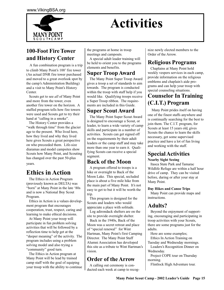

## **Activities**

### **100-Foot Fire Tower and History Center**

A fun combination program is a trip to climb Many Point's 100' fire tower (An actual DNR fire tower purchased and moved to a great overlook spot by the camp's Administration Building) and a visit to Many Point's History Center.

 Scouts get to see *all* of Many Point and more from the tower, even another fire tower on the horizon. A staffed program tells how fire towers were used and Scouts get to try their hand at "calling in a smoke".

 The History Center provides a "walk through time" from the glacier age to the present. Who lived here, how they lived and why they lived here gives Scouts a great perspective on who preceeded them. Life-size diaramas and model campsites show Scouts how Many Point, and Scouting has changed over the past 50-plus years.

## **Ethics in Action**

The Ethics in Action Program (previously known as DELTA) was "born" at Many Point in the late '80s and is now a National Boy Scout Program.

 Ethics in Action is a values development program that encourages cooperation, trust, respect, caring and learning to make ethical decisions.

 At Many Point your troop will participate in fun problem solving activities that will be followed by a reflection time to help get at the "deeper meaning" of the activity. The program includes using a problem solving model and also trying a "community" good turn.

 The Ethics in Action program at Many Point will be lead by trained camp staff with the goal of equiping your troop with the ability to continue the programs at home in troop meetings and campouts.

 A special adult leader training will be held to orient you to the programs elements and benefits.

#### **Super Troop Award**

 The Many Point Super Troop Award gives a troop a set of standards to aim towards. The program is conducted within the troop with staff help if you would like. Qualifying troops receive a Super Troop ribbon. The requirements are included in this Guide.

#### **Super Scout Award**

 The Many Point Super Scout Award is designed to encourage a Scout, or leader, to learn a wide variety of camp skills and participate in a number of activities. Scouts can get signed off on the requirements by their adult leaders or the camp staff and may take more than one year to earn it. Qualifying Scouts can receive a special segment.

### **Back of the Moon**

 A program offered to troops is a hike or overnight to Back of the Moon Lake. This special, secluded place is about a five mile hike from the main part of Many Point. It's not easy to get to but it will be worth the trip.

 This program is designed for the Scouts and leaders who would appreciate a place with solitude.

 Log adirondack shelters are on the site to provide overnight shelter.

 Back in the 1940s, Back of the Moon was a secret retreat and place of "special renewal" for Wint Hartman, Many Point's first Camping Director. The Many Point Staff Alumni Association has developed this site as a tribute to Wint Hartman's vision.

### **Order of the Arrow**

 A calling out ceremony is conducted each week at camp to recognize newly elected members to the Order of the Arrow.

#### **Religious Programs**

 Chaplains at Many Point hold weekly vespers services in each camp, provide information on the religious emblems and chaplain's aide programs and can help your troop with special counseling situations.

#### **Counselor In Training (C.I.T.) Program**

Many Point prides itself on having one of the finest staffs anywhere and is continually searching for the best to join them. The C.I.T. program, for Scouts at least 15 years old, gives Scouts the chance to learn the skills necessary, get some supervised practice and have a lot of fun living and working with the staff.

### **Special Activities**

#### **Nearby Sight Seeing**

 Itasca State Park and Tamarac Wildlife Refuge are within a half hour drive of camp. They can be visited before, during or after your stay at Many Point.

#### **Day Hikes and Canoe Trips**

 Many Point can provide maps and instructions.

#### **Adults?**

 Beyond the enjoyment of supporting, encouraging and participating in troop activities with your Scouts, there are some programs just for the adults.

 Here are some examples; Ethics In Action Training on Tuesday and Wednesday mornings. Leaders's Recognition Dinner on Wednesday.

 Project COPE tour on Thursday morning.

Flintlock High Adventure tour.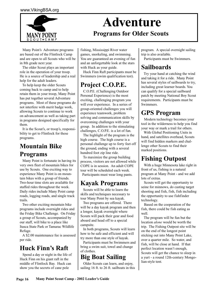

## **Adventure**

## **Programs for Older Scouts**

 Many Point's Adventure programs are based out of the Flintlock Camp and are open to all Scouts who will be in 8th grade next year.

 The older Scout plays an important role in the operation of your troop. He is a source of leadership and a real help for the adult leaders.

 To help keep the older Scouts coming back to camp and to help retain them in your troop, Many Point has put together several Adventure programs. Most of these programs do not interfere with merit badge work, allowing Scouts to continue to work on advancement as well as taking part in programs designed specifically for them.

 It is the Scout's, or troop's, responsibility to get to Flintlock for these programs.

## **Mountain Bike Programs**

 Many Point is fortunate in having its very own fleet of mountain bikes for use by Scouts. One exciting way to experience Many Point is on mountain bikes with a group of friends. Two-hour time slots are available for staffed rides throughout the week. Daily rides include Many Point camp roads, logging roads, and single track trails.

 Two other exciting mountain bike programs include overnight rides and the Friday Bike Challenge. On Friday a group of Scouts, accompanied by our staff, will bike to a place like Itasca State Park or Tamarac Wildlife Refuge.

 A \$2.00 maintenance fee is assessed per ride.

## **Huck Finn's Raft**

 Spend a day or night in the life of Huck Finn on his giant raft in the middle of Flintlock Bay. Huck can show you the secrets of cane pole

fishing, Mississippi River water games, snorkeling, and swimming. You are guaranteed an evening of fun and an unforgettable look at the stars with Huck as your guide.

 Huck Finn Raft participants must be Swimmers (swim qualification test).

## **Project C.O.P.E.**

 C.O.P.E. (Challenging Outdoor Personal Experience) is the most exciting, challenging program you will ever experience. In a series of group-oriented challenges you will experience teamwork, problem solving and communication skills by overcoming challenges with your group. In addition to the stimulating challenges, C.O.P.E. is a lot of fun.

 The highlight of the program is the high course. The high course is a personal challenge up to forty feet off the ground, ending with a several hundred foot zip line ride.

 To maximize the group building process, visitors are not allowed while COPE is in session. An adult COPE tour will be scheduled each week. Participants must wear long pants.

## **Kayak Programs**

 Scouts will be able to learn the skills and techniques necessary to tour Many Point by sea kayak.

 Two programs are offered. There will be a day kayak program and then a longer, kayak overnight where Scouts will pack their gear and food aboard and head off to a special campsite.

 In both programs, Scouts will learn how to be safe and efficient and will try more than one style of kayak.

 Participants must be Swimmers and bring a swim suit, towel and change of clothes.

## **Big Boat Sailing**

 Older Scouts can learn, and enjoy, sailing 16 ft. to 26 ft. sailboats in this program. A special overnight sailing trip is also available.

Participants must be Swimmers.

## **Sailboards**

 Try your hand at catching the wind and taking it for a ride. Many Point has several styles of sailboards to try, including great learner boards. You can qualify for a special sailboard patch by meeting National Boy Scout requirements. Participants must be Swimmers.

## **GPS Program**

 Modern technology becomes your tool in the wilderness to help you find your way or mark a trail for others.

 With Global Positioning Units in hand, and satellites overhead, Scouts will find hidden markers and challenge other Scouts to find their marked positions.

## **Fishing Outpost**

With a huge Minnesota lake right in front of us, fishing is a natural program at Many Point - and we add lots of extras.

 Scouts will get the opportunity to seine for minnows, do casting target shooting and fish, fish, fish including the opportunity to use fishfinder technology.

 Based on the cooperation of the fish, there could be fish eating as well.

 The program will be fun but the location *alone* would be worth the trip. The Fishing Outpost site will be on the end of the longest point sticking out into Many Point Lake, over a quarter mile. So water, and fish, will be close at hand. If that perfect location wasn't enough, Scouts will get the chance to sleep in a yurt - a round 12th-century Mongolian-style tent.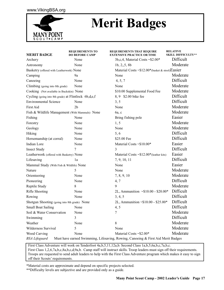

## **Merit Badges**

| <b>MERIT BADGE</b>                                   | <b>REQUIREMENTS TO</b><br><b>DO BEFORE CAMP</b> | REQUIREMENTS THAT REQUIRE<br><b>EXTENSIVE PRACTICE OR TIME</b>                   | <b>RELATIVE</b><br><b>SKILL DIFFICULTY**</b> |
|------------------------------------------------------|-------------------------------------------------|----------------------------------------------------------------------------------|----------------------------------------------|
| Archery                                              | None                                            | 3b,c,4, Material Costs $\sim$ \$2.00*                                            | Difficult                                    |
| Astronomy                                            | None                                            | 1b, 2, 5, 8b                                                                     | Moderate                                     |
| Basketry (offered with Leatherwork) None             |                                                 | Material Costs ~\$12.00*(basket & stool)Easier                                   |                                              |
| Camping                                              | 9a                                              | None                                                                             | Moderate                                     |
| Canoeing                                             | None                                            | 4, 5, 7                                                                          | Difficult                                    |
| Climbing (going into 8th grade)                      | None                                            | None                                                                             | Moderate                                     |
| Cooking (Not available in Buckskin) None             |                                                 | \$10.00 Supplemental Food Fee                                                    | Moderate                                     |
| Cycling (going into 8th grade) at Flintlock 6b,d,e,f |                                                 | 8, 9 \$2.00 bike fee                                                             | Difficult                                    |
| <b>Environmental Science</b>                         | None                                            | 3, 5                                                                             | Difficult                                    |
| First Aid                                            | 2 <sub>b</sub>                                  | None                                                                             | Moderate                                     |
| Fish & Wildlife Management (With Mammals) None       |                                                 | 6a, c                                                                            | Moderate                                     |
| Fishing                                              | None                                            | Bring fishing pole                                                               | Easier                                       |
| Forestry                                             | None                                            | 1, 5                                                                             | Moderate                                     |
| Geology                                              | None                                            | None                                                                             | Moderate                                     |
| Hiking                                               | None                                            | 5, 6                                                                             | Difficult                                    |
| Horsemanship (at corral)                             | None                                            | \$25.00 Fee                                                                      | Difficult                                    |
| Indian Lore                                          | None                                            | Material Costs ~\$10.00*                                                         | Easier                                       |
| <b>Insect Study</b>                                  | 7                                               | $\overline{\mathbf{3}}$                                                          | Difficult                                    |
| Leatherwork (offered with Basketry) None             |                                                 | Material Costs $\sim $12.00*$ (leather kits)                                     | Easier                                       |
| Lifesaving                                           | 1a                                              | 7, 9, 10, 11                                                                     | Difficult                                    |
| Mammal Study (With Fish & Wildlife) None             |                                                 | None                                                                             | Easier                                       |
| Nature                                               | 5                                               | None                                                                             | Moderate                                     |
| Orienteering                                         | None                                            | 7, 8, 9, 10                                                                      | Moderate                                     |
| Pioneering                                           | None                                            | 4,7                                                                              | Difficult                                    |
| Reptile Study                                        | 8                                               | 9                                                                                | Moderate                                     |
| Rifle Shooting                                       | None                                            | 2L, Ammunition ~\$10.00 - \$20.00*                                               | Difficult                                    |
| Rowing                                               | None                                            | 3, 4, 5                                                                          | Difficult                                    |
| Shotgun Shooting (going into 8th grade) None         |                                                 | 2L, Ammunition ~\$10.00 - \$25.00*                                               | Difficult                                    |
| <b>Small Boat Sailing</b>                            | None                                            | 4, 5                                                                             | Difficult                                    |
| Soil & Water Conservation                            | None                                            | 7                                                                                | Moderate                                     |
| Swimming                                             | 3                                               |                                                                                  | Difficult                                    |
| Weather                                              | None                                            | 8                                                                                | Moderate                                     |
| Wilderness Survival                                  | 5                                               | None                                                                             | Moderate                                     |
| Wood Carving                                         | None                                            | Material Costs ~\$2.00*                                                          | Moderate                                     |
| <b>BSA</b> Lifeguard                                 |                                                 | Must have earned Swimming, Lifesaving, Rowing, Canoeing & First Aid Merit Badges |                                              |

 First Class Adventure will work on Tenderfoot 4a,b,5,11,12a,b. Second Class 1a,b,5,6a,b,c,7a,b,c. First Class 1,2,6,7a,b,c,8a,b,c,d,9a,b. Camp staff will instruct skills. Troop leaders must sign off their requirements. Troops are requested to send adult leaders to help with the First Class Adventure program which makes it easy to sign off their Scouts' requirements.

\*Material costs are approximate and depend on specific projects selected.

\*\*Difficulty levels are subjective and are provided only as a guide.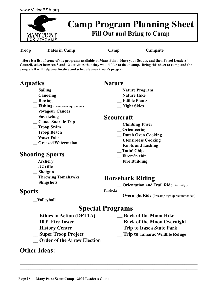

Troop Dates in Camp Camp Camp Camp Campsite

 **Here is a list of some of the programs available at Many Point. Have your Scouts, and then Patrol Leaders' Council, select between 8 and 12 activities that they would like to do at camp. Bring this sheet to camp and the camp staff will help you finalize and schedule your troop's program.**

### **Aquatics**

- **\_\_ Sailing**
- **\_\_ Canoeing**
- **\_\_ Rowing**
- **\_\_ Fishing** (bring own equipment)
- **\_\_ Voyageur Canoes**
- **\_\_ Snorkeling**
- **\_\_ Canoe Snorkle Trip**
- **\_\_ Troop Swim**
- **\_\_ Troop Beach**
- **\_\_ Water Polo**
- **\_\_ Greased Watermelon**

### **Shooting Sports**

- **\_\_ Archery**
- **\_\_ .22 rifle**
- **\_\_ Shotgun**
- **\_\_ Throwing Tomahawks**
- **\_\_ Slingshots**

#### **Sports**

**\_\_Volleyball**

#### **Nature**

- **\_\_ Nature Program**
- **\_\_ Nature Hike**
- **\_\_ Edible Plants**
- **\_\_ Night Skies**

#### **Scoutcraft**

- **\_\_ Climbing Tower**
- **\_\_ Orienteering**
- **\_\_ Dutch Oven Cooking**
- **\_\_ Utensil-less Cooking**
- **\_\_ Knots and Lashing**
- **\_\_ Totin' Chip**
- **\_\_ Firem'n chit**
- **\_\_ Fire Building**

#### **Horseback Riding**

**\_\_ Orientation and Trail Ride** (Activity at

#### Flintlock)

**Overnight Ride** (Precamp signup recommended)

## **Special Programs**

**\_\_\_\_\_\_\_\_\_\_\_\_\_\_\_\_\_\_\_\_\_\_\_\_\_\_\_\_\_\_\_\_\_\_\_\_\_\_\_\_\_\_\_\_\_\_\_\_\_\_\_\_\_\_\_\_\_\_\_\_\_\_\_\_\_\_\_\_\_\_\_\_\_\_\_\_\_\_\_\_\_\_\_\_\_\_\_\_\_\_\_\_\_\_\_\_\_\_\_\_\_\_\_ \_\_\_\_\_\_\_\_\_\_\_\_\_\_\_\_\_\_\_\_\_\_\_\_\_\_\_\_\_\_\_\_\_\_\_\_\_\_\_\_\_\_\_\_\_\_\_\_\_\_\_\_\_\_\_\_\_\_\_\_\_\_\_\_\_\_\_\_\_\_\_\_\_\_\_\_\_\_\_\_\_\_\_ \_\_\_\_\_\_\_\_\_\_\_\_\_\_\_\_\_\_\_\_\_\_\_\_\_\_\_\_\_\_\_\_\_\_\_\_\_\_\_\_\_\_\_\_\_\_\_\_\_\_\_\_\_\_\_\_\_\_\_\_\_\_\_\_\_\_\_\_\_\_\_\_\_\_\_\_\_\_\_\_\_**

- **\_\_ Ethics in Action (DELTA)**
- **\_\_ 100' Fire Tower**
- **\_\_ History Center**
- **\_\_ Super Troop Project**
- **\_\_ Order of the Arrow Election**

#### **Other Ideas:**

- **\_\_ Back of the Moon Hike**
- **\_\_ Back of the Moon Overnight**
- **\_\_ Trip to Itasca State Park**
- **\_\_ Trip to Tamarac Wildlife Refuge**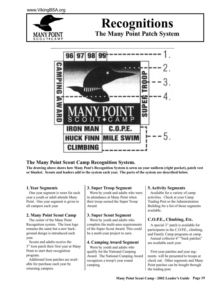

## **Recognitions The Many Point Patch System**

96 AM T<br>M<br>S ,,,,,,, LP.E. E SWI CLIMBING

#### **The Many Point Scout Camp Recognition System.**

**The drawing above shows how Many Pont's Recognition System is sewn on your uniform (right pocket), patch vest or blanket. Scouts and leaders add to the system each year. The parts of the system are described below.**

#### **1. Year Segments**

 One year segment is worn for each year a youth or adult attends Many Point. One year segment is given to all campers each year.

#### **2. Many Point Scout Camp**

 The center of the Many Point Recognition system. The loon logo remains the same but a new background design is introduced each year.

 Scouts and adults receive the 3" loon patch their first year at Many Point to start their recognition program.

 Additional loon patches are available for purchase each year by returning campers.

#### **3. Super Troop Segment**

 Worn by youth and adults who were in attendance at Many Point when their troop earned the Super Troop Award.

#### **3. Super Scout Segment**

 Worn by youth and adults who complete the multi-area requirements of the Super Scout Award. This could be a multi-year project to earn.

#### **4. Camping Award Segment**

 Worn by youth and adults who qualify for the National Camping Award. The National Camping Award recognizes a troop's year round camping.

#### **5. Activity Segments**

 Available for a variety of camp activities. Check at your Camp Trading Post or the Administration Building for a list of those segments available.

#### **C.O.P.E., Climbing, Etc.**

 A special 3" patch is available for participants in the C.O.P.E., climbing, and Family Camp programs at camp. Annual collector 6" "back patches" are available each year.

 First-year patches and year segments will be presented to troops at check out. Other segments and Many Point patches can be bought through the trading post.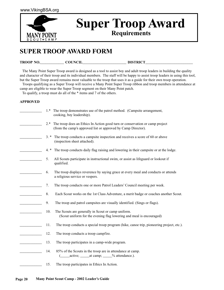

## **Super Troop Award Requirements**

## **SUPER TROOP AWARD FORM**

| TROOP NO. | <b>COUNCIT</b> | <b>DISTRICT</b> |
|-----------|----------------|-----------------|
|           |                |                 |

 The Many Point Super Troop award is designed as a tool to assist boy and adult troop leaders in building the quality and character of their troop and its individual members. The staff will be happy to assist troop leaders in using this tool, but the Super Troop award remains most valuable to the troop that uses it as a guide for their own troop operation.

 Troops qualifying as a Super Troop will receive a Many Point Super Troop ribbon and troop members in attendance at camp are eligible to wear the Super Troop segment on their Many Point patch.

To qualify, a troop must do all of the \* items and 7 of the others.

#### **APPROVED**

| $1.*$  | The troop demonstrates use of the patrol method. (Campsite arrangement,<br>cooking, boy leadership).                                              |
|--------|---------------------------------------------------------------------------------------------------------------------------------------------------|
|        | 2.* The troop does an Ethics In Action good turn or conservation or camp project<br>(from the camp's approved list or approved by Camp Director). |
| $3. *$ | The troop conducts a campsite inspection and receives a score of 60 or above<br>(inspection sheet attached).                                      |
| $4.*$  | The troop conducts daily flag raising and lowering in their campsite or at the lodge.                                                             |
| 5.     | All Scouts participate in instructional swim, or assist as lifeguard or lookout if<br>qualified.                                                  |
| 6.     | The troop displays reverence by saying grace at every meal and conducts or attends<br>a religious service or vespers.                             |
| 7.     | The troop conducts one or more Patrol Leaders' Council meeting per week.                                                                          |
| 8.     | Each Scout works on the 1st Class Adventure, a merit badge or coaches another Scout.                                                              |
| 9.     | The troop and patrol campsites are visually identified. (Sings or flags).                                                                         |
| 10.    | The Scouts are generally in Scout or camp uniform.<br>(Scout uniform for the evening flag lowering and meal is encouraged)                        |
| 11.    | The troop conducts a special troop program (hike, canoe trip, pioneering project, etc.).                                                          |
| 12.    | The troop conducts a troop campfire.                                                                                                              |
| 13.    | The troop participates in a camp-wide program.                                                                                                    |
| 14.    | 85% of the Scouts in the troop are in attendance at camp.<br>active; _______ at camp; _____% attendance.).                                        |
| 15.    | The troop participates in Ethics In Action.                                                                                                       |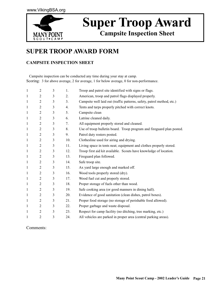

## **Super Troop Award**

**Campsite Inspection Sheet**

## **SUPER TROOP AWARD FORM**

#### **CAMPSITE INSPECTION SHEET**

 Campsite inspection can be conducted any time during your stay at camp. Scoring: 3 for above average, 2 for average, 1 for below average, 0 for non-performance.

| $\mathbf{1}$ | $\overline{2}$ | 3 | 1.  | Troop and patrol site identified with signs or flags.                  |
|--------------|----------------|---|-----|------------------------------------------------------------------------|
| 1            | 2              | 3 | 2.  | American, troop and patrol flags displayed properly.                   |
| $\mathbf{1}$ | $\overline{2}$ | 3 | 3.  | Campsite well laid out (traffic patterns, safety, patrol method, etc.) |
| $\mathbf{1}$ | $\overline{2}$ | 3 | 4.  | Tents and tarps properly pitched with correct knots.                   |
| 1            | $\overline{2}$ | 3 | 5.  | Campsite clean                                                         |
| 1            | $\overline{2}$ | 3 | 6.  | Latrine cleaned daily.                                                 |
| 1            | $\overline{2}$ | 3 | 7.  | All equipment properly stored and cleaned.                             |
| $\mathbf{1}$ | 2              | 3 | 8.  | Use of troop bulletin board. Troop program and fireguard plan posted.  |
| $\mathbf{1}$ | $\overline{2}$ | 3 | 9.  | Patrol duty rosters posted.                                            |
| $\mathbf{1}$ | $\overline{2}$ | 3 | 10. | Clothesline used for airing and drying.                                |
| $\mathbf{1}$ | $\overline{2}$ | 3 | 11. | Living space in tents neat; equipment and clothes properly stored.     |
| $\mathbf{1}$ | $\overline{2}$ | 3 | 12. | Troop first aid kit available. Scouts have knowledge of location.      |
| 1            | $\overline{2}$ | 3 | 13. | Fireguard plan followed.                                               |
| $\mathbf{1}$ | $\overline{2}$ | 3 | 14. | Safe troop site.                                                       |
| 1            | 2              | 3 | 15. | Ax yard large enough and marked off.                                   |
| 1            | $\overline{2}$ | 3 | 16. | Wood tools properly stored (dry).                                      |
| $\mathbf{1}$ | $\overline{2}$ | 3 | 17. | Wood fuel cut and properly stored.                                     |
| 1            | $\overline{2}$ | 3 | 18. | Proper storage of fuels other than wood.                               |
| 1            | 2              | 3 | 19. | Safe cooking area (or good manners in dining hall).                    |
| 1            | $\overline{2}$ | 3 | 20. | Evidence of good sanitation (clean dishes, patrol boxes).              |
| 1            | 2              | 3 | 21. | Proper food storage (no storage of perishable food allowed).           |
| 1            | 2              | 3 | 22. | Proper garbage and waste disposal.                                     |
| 1            | $\overline{2}$ | 3 | 23. | Respect for camp facility (no ditching, tree marking, etc.)            |
| 1            | $\overline{2}$ | 3 | 24. | All vehicles are parked in proper area (central parking areas).        |

#### Comments: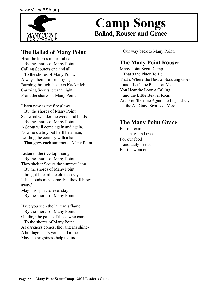

## **Ballad, Rouser and Grace Camp Songs**

#### **The Ballad of Many Point**

Hear the loon's mournful call, By the shores of Many Point. Calling Scouters one and all To the shores of Many Point. Always there's a fire bright, Burning through the deep black night, Carrying Scouts' eternal light, From the shores of Many Point.

Listen now as the fire glows, By the shores of Many Point. See what wonder the woodland holds, By the shores of Many Point. A Scout will come again and again, Now he's a boy but he'll be a man, Leading the country with a hand That grew each summer at Many Point.

Listen to the tree top's song, By the shores of Many Point. They shelter Scouts the summer long. By the shores of Many Point. I thought I heard the old man say, 'The clouds may come, but they'll blow away,' May this spirit forever stay By the shores of Many Point.

Have you seen the lantern's flame, By the shores of Many Point. Guiding the paths of those who came To the shores of Many Point As darkness comes, the lanterns shine-A heritage that's yours and mine. May the brightness help us find

Our way back to Many Point.

#### **The Many Point Rouser**

Many Point Scout Camp That's the Place To Be, That's Where the Best of Scouting Goes and That's the Place for Me, You Hear the Loon a Calling and the Little Beaver Roar, And You'll Come Again the Legend says Like All Good Scouts of Yore.

#### **The Many Point Grace**

For our camp Its lakes and trees. For our food and daily needs. For the wonders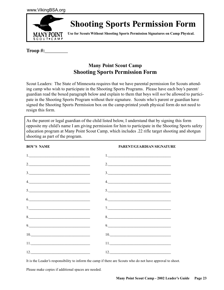

## **Shooting Sports Permission Form**

**Use for Scouts Without Shooting Sports Permission Signatures on Camp Physical.**

**Troop #:\_\_\_\_\_\_\_\_\_**

#### **Many Point Scout Camp Shooting Sports Permission Form**

Scout Leaders: The State of Minnesota requires that we have parental permission for Scouts attending camp who wish to participate in the Shooting Sports Programs. Please have each boy's parent/ guardian read the boxed paragraph below and explain to them that boys will *not* be allowed to participate in the Shooting Sports Program without their signature. Scouts who's parent or guardian have signed the Shooting Sports Permission box on the camp-printed youth physical form do not need to resign this form.

As the parent or legal guardian of the child listed below, I understand that by signing this form opposite my child's name I am giving permission for him to participate in the Shooting Sports safety education program at Many Point Scout Camp, which includes .22 rifle target shooting and shotgun shooting as part of the program.

**BOY'S NAME PARENT/GUARDIAN SIGNATURE** 1.\_\_\_\_\_\_\_\_\_\_\_\_\_\_\_\_\_\_\_\_\_\_\_\_\_\_\_\_\_\_\_\_\_ 1.\_\_\_\_\_\_\_\_\_\_\_\_\_\_\_\_\_\_\_\_\_\_\_\_\_\_\_\_\_\_\_\_\_\_ 2.  $\frac{2}{2}$  $3.$  $4.$ 5.\_\_\_\_\_\_\_\_\_\_\_\_\_\_\_\_\_\_\_\_\_\_\_\_\_\_\_\_\_\_\_\_\_ 5.\_\_\_\_\_\_\_\_\_\_\_\_\_\_\_\_\_\_\_\_\_\_\_\_\_\_\_\_\_\_\_\_\_\_  $6.$   $6.$ 7.\_\_\_\_\_\_\_\_\_\_\_\_\_\_\_\_\_\_\_\_\_\_\_\_\_\_\_\_\_\_\_\_\_ 7.\_\_\_\_\_\_\_\_\_\_\_\_\_\_\_\_\_\_\_\_\_\_\_\_\_\_\_\_\_\_\_\_\_\_ 8.\_\_\_\_\_\_\_\_\_\_\_\_\_\_\_\_\_\_\_\_\_\_\_\_\_\_\_\_\_\_\_\_\_ 8.\_\_\_\_\_\_\_\_\_\_\_\_\_\_\_\_\_\_\_\_\_\_\_\_\_\_\_\_\_\_\_\_\_\_ 9.\_\_\_\_\_\_\_\_\_\_\_\_\_\_\_\_\_\_\_\_\_\_\_\_\_\_\_\_\_\_\_\_\_ 9.\_\_\_\_\_\_\_\_\_\_\_\_\_\_\_\_\_\_\_\_\_\_\_\_\_\_\_\_\_\_\_\_\_\_ 10.\_\_\_\_\_\_\_\_\_\_\_\_\_\_\_\_\_\_\_\_\_\_\_\_\_\_\_\_\_\_\_\_ 10.\_\_\_\_\_\_\_\_\_\_\_\_\_\_\_\_\_\_\_\_\_\_\_\_\_\_\_\_\_\_\_\_\_ 11.  $11.$  $12.$ 

It is the Leader's responsibility to inform the camp if there are Scouts who do not have approval to shoot.

Please make copies if additional spaces are needed.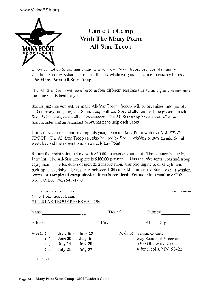#### www.VikingBSA.org



## Come To Camp With The Many Point **All-Star Troop**

If you cannot go to summer camp with your own Scort troop, because of a family vacation, summer school, sports conflict, or whatever, you can come to camp with us -The Many Point All-Star Troop!

The All-Star Troop will be offered in four different sessions this summer, so you can pick the time that is best for you.

Scouts just like you will be in the All-Star Troop. Scouts will be organized into patrols and do everything a regular Scout troop will do. Special attention will be given to each Scout's interests, especially advancement. The All-Star troop has a great full-time Seoutmaster and an Assistant Scoutmaster to help each Scout.

Don't miss out on summer camp this year, come to Many Point with the ALL STAR TROOP! The All-Star Troop can also be used by Scouts wishing to stay an additional week beyond their own troop's stay at Many Point.

Return the registration below, with \$20.00, to reserve your spot. The balance is due by June 1st. The All-Star Troop fee is \$160.00 per week. This includes tents, cots and troop equipment. The fee does not include transportation. Car pooling help, or Greyhound pick-up, is available. Check-in is between 1:00 and 3:00 p.m. on the Sunday their session opens. A completed camp physical form is required. For more information call the Scout Office (763) 545-4550.

| Many Point Scout Camp    | ALL-STAR TROOP RESERVATION                                                                                  |         |                                                                                                   |  |        |            |
|--------------------------|-------------------------------------------------------------------------------------------------------------|---------|---------------------------------------------------------------------------------------------------|--|--------|------------|
| Name                     |                                                                                                             |         | Troop#                                                                                            |  | Phone# |            |
| Address                  |                                                                                                             |         | $\mathrm{City}_{\_\_\_\_\}$                                                                       |  |        | $ST$ $Zip$ |
| Week: $( )$<br>( )<br>€⊦ | June $16 -$<br>June 30 - $\int u \, dv = 6$<br>July $14 - \text{July } 20$<br>July 21 - $J_{\text{uly}}$ 27 | June 22 | Mail To: Viking Council<br>Boy Seouts of America<br>5300 Glenwood Avenue<br>Minneapolis, MN 55422 |  |        |            |
| CODE: 121                |                                                                                                             |         |                                                                                                   |  |        |            |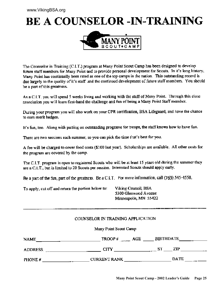## **BE A COUNSELOR -IN-TRAINING**



The Counselor in Training (C.I.T.) program at Many Point Scout Camp has been designed to develop future staff members for Many Point and to provide personal development for Scouts. In it's long history, Many Point has continually been rated as one of the top camps in the nation. This outstanding record is due largely to the quality of it's staff and the continued development of future staff members. You should be a part of this greatness.

As a C.I.T. you will spend 5 weeks living and working with the staff of Many Point. Through this close association you will learn first-hand the challenge and fun of being a Many Point Staff member.

During your program you will also work on your CPR certification, BSA Lifeguard, and have the chance to earn merit badges.

It's fun, too. Along with putting on outstanding programs for troops, the staff knows how to have fun.

There are two sessions each summer, so you can pick the time that's best for you.

A fee will be charged to cover food costs (\$100 last year). Scholarships are available. All other costs for the program are covered by the camp.

The C.I.T. program is open to registered Scouts who will be at least 15 years old during the summer they are a C.I.T., but is limited to 20 Scouts per session. Interested Scouts should apply early.

Be a part of the fun, part of the greatness. Be a C.I.T. For more information, call  $(763)$  545-4550.

To apply, cut off and return the portion below to:

Viking Council, BSA 5300 Glenwood Avenue Minneapolis, MN 55422

#### COUNSELOR IN TRAINING APPLICATION

Many Point Scout Camp

| NAME           | TROOP#<br>AGE                            | <b>BIRTHDATE</b>          |
|----------------|------------------------------------------|---------------------------|
| <b>ADDRESS</b> | CITY                                     | ZIP                       |
| PHONE #        | <b>CURRENT RANK</b><br>-- <del>- -</del> | <b>DATE</b><br>والمحاملات |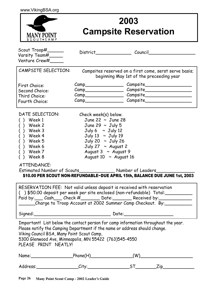

## **2003 Campsite Reservation**

| Scout $Trop#$ <sub>________</sub><br>Varsity Team#                                                                                                                                                                                                                                               | District Council           |                                                                                                    |  |
|--------------------------------------------------------------------------------------------------------------------------------------------------------------------------------------------------------------------------------------------------------------------------------------------------|----------------------------|----------------------------------------------------------------------------------------------------|--|
| Venture Crew#                                                                                                                                                                                                                                                                                    |                            |                                                                                                    |  |
| CAMPSITE SELECTION:                                                                                                                                                                                                                                                                              |                            | Campsites reserved on a first come, serst serve basis;<br>beginning May 1st of the preceeding year |  |
| First Choice:                                                                                                                                                                                                                                                                                    |                            |                                                                                                    |  |
| Second Choice: Second Choice                                                                                                                                                                                                                                                                     |                            |                                                                                                    |  |
| Third Choice:                                                                                                                                                                                                                                                                                    |                            |                                                                                                    |  |
| Fourth Choice:                                                                                                                                                                                                                                                                                   |                            |                                                                                                    |  |
| DATE SELECTION:                                                                                                                                                                                                                                                                                  | Check week(s) below.       |                                                                                                    |  |
| () Week 1                                                                                                                                                                                                                                                                                        | June 22 $\sim$ June 28     |                                                                                                    |  |
| () Week 2                                                                                                                                                                                                                                                                                        | June 29 $\sim$ July 5      |                                                                                                    |  |
| $()$ Week 3                                                                                                                                                                                                                                                                                      | July $6 \sim$ July 12      |                                                                                                    |  |
| () Week 4                                                                                                                                                                                                                                                                                        | July 13 ~ July 19          |                                                                                                    |  |
| $( )$ Week 5                                                                                                                                                                                                                                                                                     | July 20 ~ July 26          |                                                                                                    |  |
| () Week 6                                                                                                                                                                                                                                                                                        | July 27 $\sim$ August 2    |                                                                                                    |  |
| $()$ Week $7$                                                                                                                                                                                                                                                                                    | August $3 \sim$ August 9   |                                                                                                    |  |
| $( )$ Week 8                                                                                                                                                                                                                                                                                     | August 10 $\sim$ August 16 |                                                                                                    |  |
| ATTENDANCE:                                                                                                                                                                                                                                                                                      |                            |                                                                                                    |  |
|                                                                                                                                                                                                                                                                                                  |                            | Estimated Number of Scouts__________________ Number of Leaders____________                         |  |
|                                                                                                                                                                                                                                                                                                  |                            | \$10.00 PER SCOUT NON-REFUNDABLE~DUE APRIL 15th, BALANCE DUE JUNE 1st, 2003                        |  |
| RESERVATION FEE: Not valid unless deposit is received with reservation                                                                                                                                                                                                                           |                            |                                                                                                    |  |
|                                                                                                                                                                                                                                                                                                  |                            | ( )\$50.00 deposit per week per site enclosed (non-refundable) Total:___________                   |  |
|                                                                                                                                                                                                                                                                                                  |                            | Paid by: Cash___ Check #_______ Date: Received by: _________                                       |  |
|                                                                                                                                                                                                                                                                                                  |                            | _____Charge to Troop Account at 2002 Summer Camp Checkout. By:____________                         |  |
| Signed: Signed:                                                                                                                                                                                                                                                                                  |                            |                                                                                                    |  |
| Important! List below the contact person for camp information throughout the year.<br>Please notify the Camping Department if the name or address should change.<br>Viking Council BSA, Many Point Scout Camp,<br>5300 Glenwood Ave, Minneapolis, MN 55422 (763)545-4550<br>PLEASE PRINT NEATLY! |                            |                                                                                                    |  |
| Name: Phone(H) Phone(H)                                                                                                                                                                                                                                                                          |                            | (W)                                                                                                |  |
|                                                                                                                                                                                                                                                                                                  |                            | Address:___________________City:_____________________ST___________Zip____________                  |  |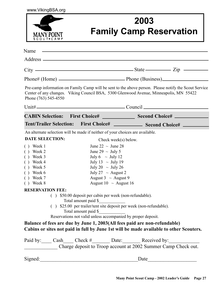www.VikingBSA.org



## **2003 Family Camp Reservation**

| Name                                                                          | <u> 1989 - Johann Harry Harry Harry Harry Harry Harry Harry Harry Harry Harry Harry Harry Harry Harry Harry Harry</u> |                                                                                                                                                                                                 |  |
|-------------------------------------------------------------------------------|-----------------------------------------------------------------------------------------------------------------------|-------------------------------------------------------------------------------------------------------------------------------------------------------------------------------------------------|--|
|                                                                               |                                                                                                                       |                                                                                                                                                                                                 |  |
|                                                                               |                                                                                                                       | $City$ $—$ $State$ $\frac{2ip}{\sqrt{1-p^2}}$                                                                                                                                                   |  |
|                                                                               |                                                                                                                       |                                                                                                                                                                                                 |  |
| Phone (763) 545-4550                                                          |                                                                                                                       | Pre-camp information on Family Camp will be sent to the above person. Please notify the Scout Service<br>Center of any changes. Viking Council BSA, 5300 Glenwood Avenue, Minneapolis, MN 55422 |  |
|                                                                               |                                                                                                                       |                                                                                                                                                                                                 |  |
|                                                                               |                                                                                                                       | CABIN Selection: First Choice# ________________ Second Choice#                                                                                                                                  |  |
|                                                                               |                                                                                                                       | Tent/Trailer Selection: First Choice# _____________ Second Choice# ________                                                                                                                     |  |
| An alternate selection will be made if neither of your choices are available. |                                                                                                                       |                                                                                                                                                                                                 |  |
| <b>DATE SELECTION:</b>                                                        | Check week(s) below.                                                                                                  |                                                                                                                                                                                                 |  |
| $()$ Week 1                                                                   | June 22 $\sim$ June 28                                                                                                |                                                                                                                                                                                                 |  |
| $()$ Week 2                                                                   | June 29 $\sim$ July 5                                                                                                 |                                                                                                                                                                                                 |  |
| Week 3<br>$\left( \begin{array}{c} \end{array} \right)$                       | July 6 $\sim$ July 12                                                                                                 |                                                                                                                                                                                                 |  |
| $( )$ Week 4                                                                  | July 13 $\sim$ July 19                                                                                                |                                                                                                                                                                                                 |  |
| $()$ Week 5                                                                   | July 20 $\sim$ July 26                                                                                                |                                                                                                                                                                                                 |  |
| $()$ Week 6                                                                   | July 27 $\sim$ August 2                                                                                               |                                                                                                                                                                                                 |  |
| $( )$ Week 7                                                                  | August 3 $\sim$ August 9                                                                                              |                                                                                                                                                                                                 |  |
| $()$ Week 8                                                                   | August 10 $\sim$ August 16                                                                                            |                                                                                                                                                                                                 |  |
| <b>RESERVATION FEE:</b>                                                       |                                                                                                                       |                                                                                                                                                                                                 |  |
|                                                                               | () \$50.00 deposit per cabin per week (non-refundable).                                                               |                                                                                                                                                                                                 |  |
|                                                                               | Total amount paid \$                                                                                                  |                                                                                                                                                                                                 |  |
|                                                                               |                                                                                                                       | () \$25.00 per trailer/tent site deposit per week (non-refundable).                                                                                                                             |  |
|                                                                               | Total amount paid \$                                                                                                  |                                                                                                                                                                                                 |  |
|                                                                               | Reservations not valid unless accompanied by proper deposit.                                                          |                                                                                                                                                                                                 |  |
|                                                                               |                                                                                                                       | Balance of fees are due by June 1, 2003(All fees paid are non-refundable)                                                                                                                       |  |
|                                                                               |                                                                                                                       | Cabins or sites not paid in full by June 1st will be made available to other Scouters.                                                                                                          |  |
|                                                                               |                                                                                                                       |                                                                                                                                                                                                 |  |
|                                                                               |                                                                                                                       | Paid by: Cash Check # Date: Received by:                                                                                                                                                        |  |
|                                                                               |                                                                                                                       | Charge deposit to Troop account at 2002 Summer Camp Check out.                                                                                                                                  |  |
| Signed:                                                                       |                                                                                                                       |                                                                                                                                                                                                 |  |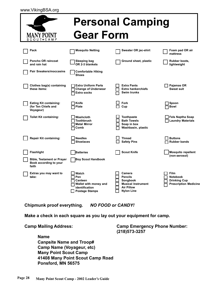|  | www.VikingBSA.org |  |
|--|-------------------|--|
|--|-------------------|--|

| mmee                                                                 |                                                                                             | <b>Personal Camping</b>                                                                                     |                                                                                       |
|----------------------------------------------------------------------|---------------------------------------------------------------------------------------------|-------------------------------------------------------------------------------------------------------------|---------------------------------------------------------------------------------------|
| <b>MANY POINT</b><br>SCOUT+CAMP                                      | <b>Gear Form</b>                                                                            |                                                                                                             |                                                                                       |
| Pack                                                                 | <b>Mosquito Netting</b>                                                                     | Sweater OR jac-shirt                                                                                        | Foam pad OR air<br>mattress                                                           |
| <b>Poncho OR raincoat</b><br>and rain hat                            | Sleeping bag<br>OR 2-3 blankets                                                             | Ground sheet, plastic                                                                                       | Rubber boots,<br>lightweight                                                          |
| <b>Pair Sneakers/moccasins</b>                                       | <b>Comfortable Hiking</b><br><b>Shoes</b>                                                   |                                                                                                             |                                                                                       |
| Clothes bag(s) containing<br>these items:                            | <b>Extra Uniform Parts</b><br><b>Change of Underwear</b><br>Extra socks                     | <b>Extra Pants</b><br><b>Extra hankerchiefs</b><br>Swim trunks                                              | Pajamas OR<br>Sweat suit                                                              |
| <b>Eating Kit containing:</b><br>(for Ten Chiefs and<br>Voyageur)    | Knife<br>Plate                                                                              | Fork<br>Cup                                                                                                 | Spoon<br>Bowl                                                                         |
| <b>Toilet Kit containing:</b>                                        | Washcloth<br><b>Toothbrush</b><br><b>Metal Mirror</b><br>Comb                               | <b>Toothpaste</b><br><b>Bath Towels</b><br>Soap in box<br>Washbasin, plastic                                | Fels Naptha Soap<br>Laundry Materials                                                 |
| <b>Repair Kit containing:</b>                                        | <b>Needles</b><br><b>Shoelaces</b>                                                          | <b>Thread</b><br><b>Safety Pins</b>                                                                         | <b>Buttons</b><br><b>Rubber bands</b>                                                 |
| <b>Flashlight</b>                                                    | <b>Batteries</b>                                                                            | <b>Scout Knife</b>                                                                                          | <b>Mosquito repellent</b><br>(non-aerosol)                                            |
| <b>Bible, Testament or Prayer</b><br>Book according to your<br>faith | <b>Boy Scout Handbook</b>                                                                   |                                                                                                             |                                                                                       |
| Extras you may want to<br>take:                                      | Watch<br>Pen<br>Canteen<br>Wallet with money and<br>identification<br><b>Postage Stamps</b> | Camera<br><b>Pencils</b><br>Songbook<br><b>Musical Instrument</b><br><b>Air Pillow</b><br><b>Nylon Line</b> | <b>Film</b><br><b>Notebook</b><br><b>Drinking Cup</b><br><b>Prescription Medicine</b> |

**Chipmunk proof everything.** *NO FOOD or CANDY!*

**Make a check in each square as you lay out your equipment for camp.**

**Name Canpsite Name and Troop# Camp Name (Voyageur, etc) Many Point Scout Camp 41408 Many Point Scout Camp Road Ponsford, MN 56575**

**Camp Mailing Address: Camp Emergency Phone Number: (218)573-3257**